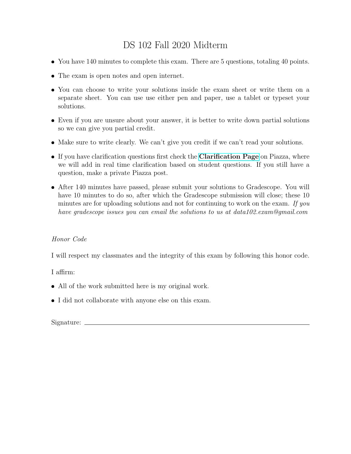## DS 102 Fall 2020 Midterm

- You have 140 minutes to complete this exam. There are 5 questions, totaling 40 points.
- The exam is open notes and open internet.
- You can choose to write your solutions inside the exam sheet or write them on a separate sheet. You can use use either pen and paper, use a tablet or typeset your solutions.
- Even if you are unsure about your answer, it is better to write down partial solutions so we can give you partial credit.
- Make sure to write clearly. We can't give you credit if we can't read your solutions.
- If you have clarification questions first check the **[Clarification Page](https://docs.google.com/document/d/1YbEbFkEpYhi1SHHnkuTKuj3kJsBHKiJT1xoYJb0GhBg/edit?usp=sharing)** on Piazza, where we will add in real time clarification based on student questions. If you still have a question, make a private Piazza post.
- After 140 minutes have passed, please submit your solutions to Gradescope. You will have 10 minutes to do so, after which the Gradescope submission will close; these 10 minutes are for uploading solutions and not for continuing to work on the exam. If you have gradescope issues you can email the solutions to us at data102.exam@gmail.com

## Honor Code

I will respect my classmates and the integrity of this exam by following this honor code.

I affirm:

- All of the work submitted here is my original work.
- I did not collaborate with anyone else on this exam.

Signature: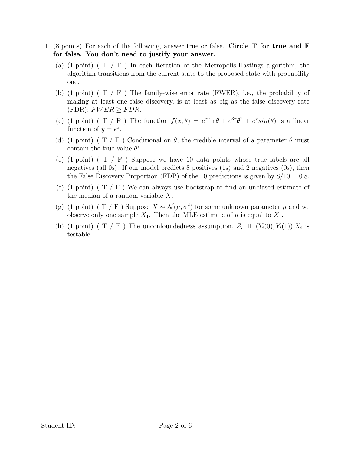- 1. (8 points) For each of the following, answer true or false. Circle T for true and F for false. You don't need to justify your answer.
	- (a) (1 point) ( $T / F$ ) In each iteration of the Metropolis-Hastings algorithm, the algorithm transitions from the current state to the proposed state with probability one.
	- (b) (1 point) ( $T / F$ ) The family-wise error rate (FWER), i.e., the probability of making at least one false discovery, is at least as big as the false discovery rate  $(FDR): FWER \ge FDR.$
	- (c) (1 point) (T / F) The function  $f(x, \theta) = e^x \ln \theta + e^{3x} \theta^2 + e^x \sin(\theta)$  is a linear function of  $y = e^x$ .
	- (d) (1 point) ( T / F ) Conditional on  $\theta$ , the credible interval of a parameter  $\theta$  must contain the true value  $\theta^*$ .
	- (e)  $(1 \text{ point})$   $(T / F)$  Suppose we have 10 data points whose true labels are all negatives (all 0s). If our model predicts 8 positives (1s) and 2 negatives (0s), then the False Discovery Proportion (FDP) of the 10 predictions is given by  $8/10 = 0.8$ .
	- (f) (1 point) ( $T / F$ ) We can always use bootstrap to find an unbiased estimate of the median of a random variable X.
	- (g) (1 point) ( T / F) Suppose  $X \sim \mathcal{N}(\mu, \sigma^2)$  for some unknown parameter  $\mu$  and we observe only one sample  $X_1$ . Then the MLE estimate of  $\mu$  is equal to  $X_1$ .
	- (h) (1 point) ( T / F) The unconfoundedness assumption,  $Z_i \perp\!\!\!\perp (Y_i(0), Y_i(1)) | X_i$  is testable.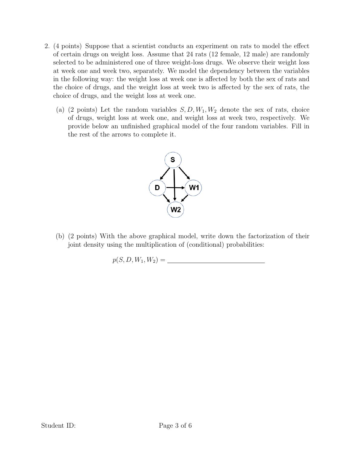- 2. (4 points) Suppose that a scientist conducts an experiment on rats to model the effect of certain drugs on weight loss. Assume that 24 rats (12 female, 12 male) are randomly selected to be administered one of three weight-loss drugs. We observe their weight loss at week one and week two, separately. We model the dependency between the variables in the following way: the weight loss at week one is affected by both the sex of rats and the choice of drugs, and the weight loss at week two is affected by the sex of rats, the choice of drugs, and the weight loss at week one.
	- (a) (2 points) Let the random variables  $S, D, W_1, W_2$  denote the sex of rats, choice of drugs, weight loss at week one, and weight loss at week two, respectively. We provide below an unfinished graphical model of the four random variables. Fill in the rest of the arrows to complete it.



(b) (2 points) With the above graphical model, write down the factorization of their joint density using the multiplication of (conditional) probabilities:

$$
p(S, D, W_1, W_2) = \underline{\qquad \qquad }
$$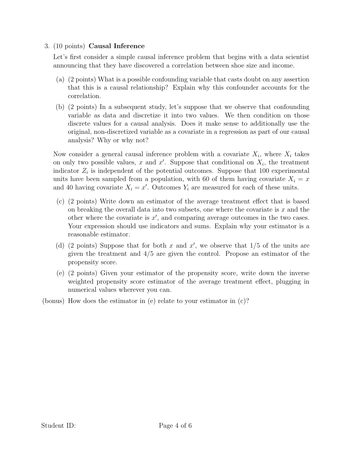## 3. (10 points) Causal Inference

Let's first consider a simple causal inference problem that begins with a data scientist announcing that they have discovered a correlation between shoe size and income.

- (a) (2 points) What is a possible confounding variable that casts doubt on any assertion that this is a causal relationship? Explain why this confounder accounts for the correlation.
- (b) (2 points) In a subsequent study, let's suppose that we observe that confounding variable as data and discretize it into two values. We then condition on those discrete values for a causal analysis. Does it make sense to additionally use the original, non-discretized variable as a covariate in a regression as part of our causal analysis? Why or why not?

Now consider a general causal inference problem with a covariate  $X_i$ , where  $X_i$  takes on only two possible values, x and  $x'$ . Suppose that conditional on  $X_i$ , the treatment indicator  $Z_i$  is independent of the potential outcomes. Suppose that 100 experimental units have been sampled from a population, with 60 of them having covariate  $X_i = x$ and 40 having covariate  $X_i = x'$ . Outcomes  $Y_i$  are measured for each of these units.

- (c) (2 points) Write down an estimator of the average treatment effect that is based on breaking the overall data into two subsets, one where the covariate is  $x$  and the other where the covariate is  $x'$ , and comparing average outcomes in the two cases. Your expression should use indicators and sums. Explain why your estimator is a reasonable estimator.
- (d) (2 points) Suppose that for both x and  $x'$ , we observe that  $1/5$  of the units are given the treatment and  $4/5$  are given the control. Propose an estimator of the propensity score.
- (e) (2 points) Given your estimator of the propensity score, write down the inverse weighted propensity score estimator of the average treatment effect, plugging in numerical values wherever you can.
- (bonus) How does the estimator in (e) relate to your estimator in (c)?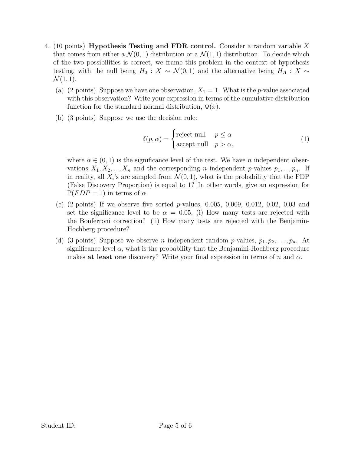- 4. (10 points) Hypothesis Testing and FDR control. Consider a random variable X that comes from either a  $\mathcal{N}(0,1)$  distribution or a  $\mathcal{N}(1,1)$  distribution. To decide which of the two possibilities is correct, we frame this problem in the context of hypothesis testing, with the null being  $H_0 : X \sim \mathcal{N}(0,1)$  and the alternative being  $H_A : X \sim$  $\mathcal{N}(1, 1).$ 
	- (a) (2 points) Suppose we have one observation,  $X_1 = 1$ . What is the p-value associated with this observation? Write your expression in terms of the cumulative distribution function for the standard normal distribution,  $\Phi(x)$ .
	- (b) (3 points) Suppose we use the decision rule:

$$
\delta(p,\alpha) = \begin{cases}\n\text{reject null} & p \le \alpha \\
\text{accept null} & p > \alpha,\n\end{cases}
$$
\n(1)

where  $\alpha \in (0,1)$  is the significance level of the test. We have *n* independent observations  $X_1, X_2, ..., X_n$  and the corresponding n independent p-values  $p_1, ..., p_n$ . If in reality, all  $X_i$ 's are sampled from  $\mathcal{N}(0,1)$ , what is the probability that the FDP (False Discovery Proportion) is equal to 1? In other words, give an expression for  $\mathbb{P}(FDP = 1)$  in terms of  $\alpha$ .

- (c)  $(2 \text{ points})$  If we observe five sorted p-values, 0.005, 0.009, 0.012, 0.02, 0.03 and set the significance level to be  $\alpha = 0.05$ , (i) How many tests are rejected with the Bonferroni correction? (ii) How many tests are rejected with the Benjamin-Hochberg procedure?
- (d) (3 points) Suppose we observe *n* independent random *p*-values,  $p_1, p_2, \ldots, p_n$ . At significance level  $\alpha$ , what is the probability that the Benjamini-Hochberg procedure makes at least one discovery? Write your final expression in terms of n and  $\alpha$ .